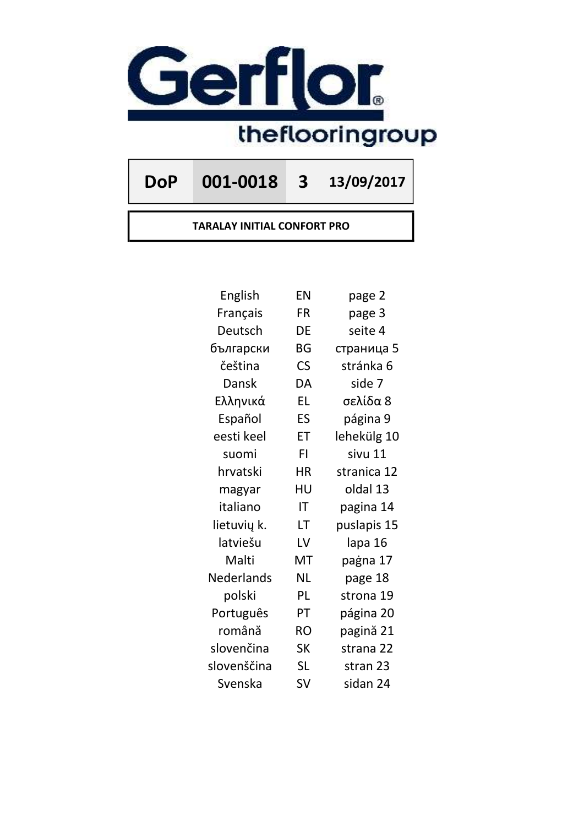

DoP 001-0018 3 13/09/2017

TARALAY INITIAL CONFORT PRO

| English     | EN                       | page 2      |
|-------------|--------------------------|-------------|
| Français    | FR                       | page 3      |
| Deutsch     | DE                       | seite 4     |
| български   | BG                       | страница 5  |
| čeština     | $\mathsf{CS}\phantom{0}$ | stránka 6   |
| Dansk       | DA                       | side 7      |
| Ελληνικά    | <b>EL</b>                | σελίδα 8    |
| Español     | ES                       | página 9    |
| eesti keel  | ET                       | lehekülg 10 |
| suomi       | FI.                      | sivu 11     |
| hrvatski    | <b>HR</b>                | stranica 12 |
| magyar      | HU                       | oldal 13    |
| italiano    | ΙT                       | pagina 14   |
| lietuvių k. | LT                       | puslapis 15 |
| latviešu    | LV                       | lapa 16     |
| Malti       | MT                       | paġna 17    |
| Nederlands  | <b>NL</b>                | page 18     |
| polski      | PL                       | strona 19   |
| Português   | PT                       | página 20   |
| română      | <b>RO</b>                | pagină 21   |
| slovenčina  | <b>SK</b>                | strana 22   |
| slovenščina | <b>SL</b>                | stran 23    |
| Svenska     | SV                       | sidan 24    |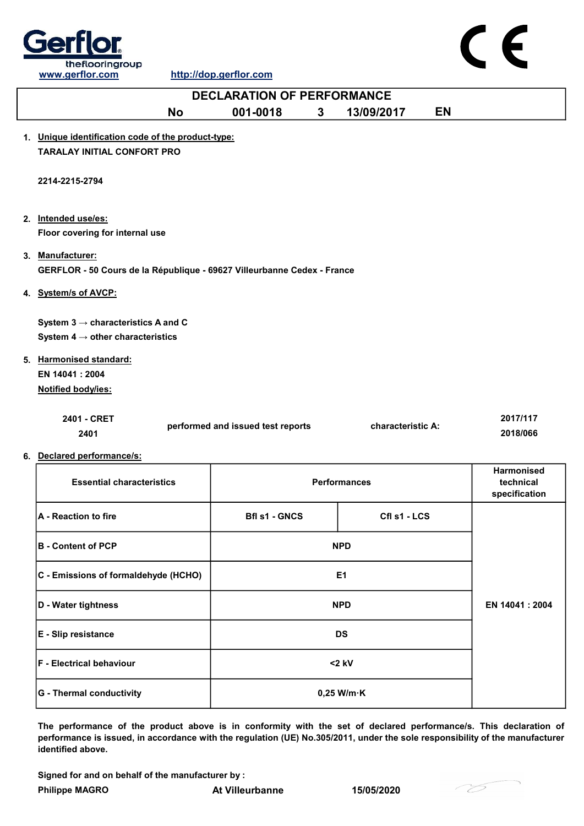

CE

|                                                                         | <b>DECLARATION OF PERFORMANCE</b> |              |                     |           |                                                 |
|-------------------------------------------------------------------------|-----------------------------------|--------------|---------------------|-----------|-------------------------------------------------|
| <b>No</b>                                                               | 001-0018                          | $\mathbf{3}$ | 13/09/2017          | <b>EN</b> |                                                 |
| 1. Unique identification code of the product-type:                      |                                   |              |                     |           |                                                 |
| <b>TARALAY INITIAL CONFORT PRO</b>                                      |                                   |              |                     |           |                                                 |
| 2214-2215-2794                                                          |                                   |              |                     |           |                                                 |
| 2. Intended use/es:                                                     |                                   |              |                     |           |                                                 |
| Floor covering for internal use                                         |                                   |              |                     |           |                                                 |
| 3. Manufacturer:                                                        |                                   |              |                     |           |                                                 |
| GERFLOR - 50 Cours de la République - 69627 Villeurbanne Cedex - France |                                   |              |                     |           |                                                 |
| 4. System/s of AVCP:                                                    |                                   |              |                     |           |                                                 |
| System $3 \rightarrow$ characteristics A and C                          |                                   |              |                     |           |                                                 |
| System 4 $\rightarrow$ other characteristics                            |                                   |              |                     |           |                                                 |
| 5. Harmonised standard:                                                 |                                   |              |                     |           |                                                 |
| EN 14041: 2004                                                          |                                   |              |                     |           |                                                 |
| Notified body/ies:                                                      |                                   |              |                     |           |                                                 |
| 2401 - CRET                                                             |                                   |              |                     |           | 2017/117                                        |
| 2401                                                                    | performed and issued test reports |              | characteristic A:   |           | 2018/066                                        |
| 6. Declared performance/s:                                              |                                   |              |                     |           |                                                 |
| <b>Essential characteristics</b>                                        |                                   |              | <b>Performances</b> |           | <b>Harmonised</b><br>technical<br>specification |
| A - Reaction to fire                                                    | <b>Bfl s1 - GNCS</b>              |              | Cfl s1 - LCS        |           |                                                 |
|                                                                         |                                   |              |                     |           |                                                 |

| <b>B</b> - Content of PCP            | <b>NPD</b>           |                 |
|--------------------------------------|----------------------|-----------------|
| C - Emissions of formaldehyde (HCHO) | E <sub>1</sub>       |                 |
| D - Water tightness                  | <b>NPD</b>           | EN 14041 : 2004 |
| E - Slip resistance                  | DS                   |                 |
| <b>F</b> - Electrical behaviour      | $<$ 2 kV             |                 |
| <b>G</b> - Thermal conductivity      | $0,25$ W/m $\cdot$ K |                 |

The performance of the product above is in conformity with the set of declared performance/s. This declaration of performance is issued, in accordance with the regulation (UE) No.305/2011, under the sole responsibility of the manufacturer identified above.

Signed for and on behalf of the manufacturer by :

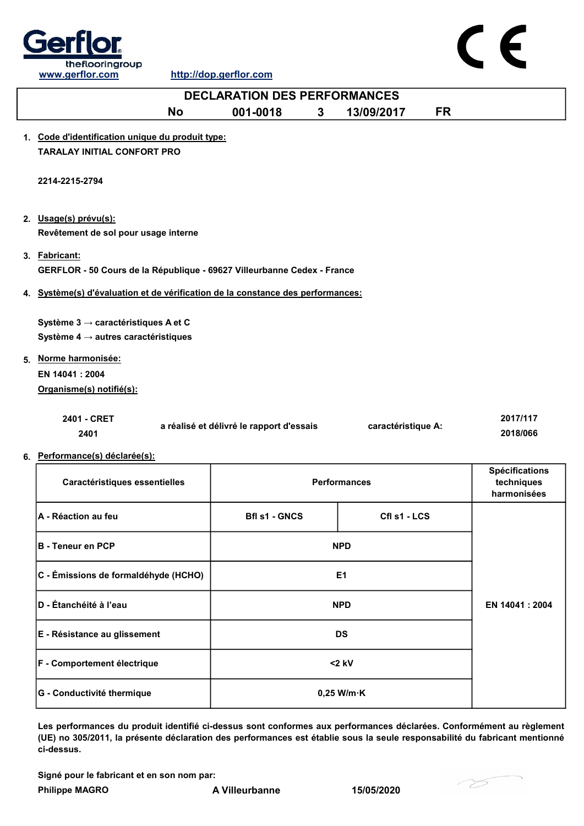



| <b>DECLARATION DES PERFORMANCES</b>                                                                |                                          |                |                     |           |                                                    |  |
|----------------------------------------------------------------------------------------------------|------------------------------------------|----------------|---------------------|-----------|----------------------------------------------------|--|
| <b>No</b>                                                                                          | 001-0018                                 | $3\phantom{a}$ | 13/09/2017          | <b>FR</b> |                                                    |  |
| 1. Code d'identification unique du produit type:<br><b>TARALAY INITIAL CONFORT PRO</b>             |                                          |                |                     |           |                                                    |  |
| 2214-2215-2794                                                                                     |                                          |                |                     |           |                                                    |  |
| 2. Usage(s) prévu(s):<br>Revêtement de sol pour usage interne                                      |                                          |                |                     |           |                                                    |  |
| 3. Fabricant:<br>GERFLOR - 50 Cours de la République - 69627 Villeurbanne Cedex - France           |                                          |                |                     |           |                                                    |  |
| 4. Système(s) d'évaluation et de vérification de la constance des performances:                    |                                          |                |                     |           |                                                    |  |
| Système 3 $\rightarrow$ caractéristiques A et C<br>Système 4 $\rightarrow$ autres caractéristiques |                                          |                |                     |           |                                                    |  |
| 5. Norme harmonisée:<br>EN 14041 : 2004<br>Organisme(s) notifié(s):                                |                                          |                |                     |           |                                                    |  |
| 2401 - CRET<br>2401                                                                                | a réalisé et délivré le rapport d'essais |                | caractéristique A:  |           | 2017/117<br>2018/066                               |  |
| 6. Performance(s) déclarée(s):                                                                     |                                          |                |                     |           |                                                    |  |
| Caractéristiques essentielles                                                                      |                                          |                | <b>Performances</b> |           | <b>Spécifications</b><br>techniques<br>harmonisées |  |
| A - Réaction au feu                                                                                | <b>Bfl s1 - GNCS</b>                     |                | Cfl s1 - LCS        |           |                                                    |  |
| <b>B</b> - Teneur en PCP                                                                           |                                          |                | <b>NPD</b>          |           |                                                    |  |
| C - Émissions de formaldéhyde (HCHO)                                                               |                                          |                | E <sub>1</sub>      |           |                                                    |  |
| D - Étanchéité à l'eau                                                                             |                                          |                | <b>NPD</b>          |           | EN 14041 : 2004                                    |  |
| E - Résistance au glissement                                                                       |                                          |                | <b>DS</b>           |           |                                                    |  |

Les performances du produit identifié ci-dessus sont conformes aux performances déclarées. Conformément au règlement (UE) no 305/2011, la présente déclaration des performances est établie sous la seule responsabilité du fabricant mentionné ci-dessus.

Signé pour le fabricant et en son nom par:

Philippe MAGRO **A Villeurbanne** 15/05/2020

G - Conductivité thermique  $0,25$  W/m·K

F - Comportement électrique <2 kV

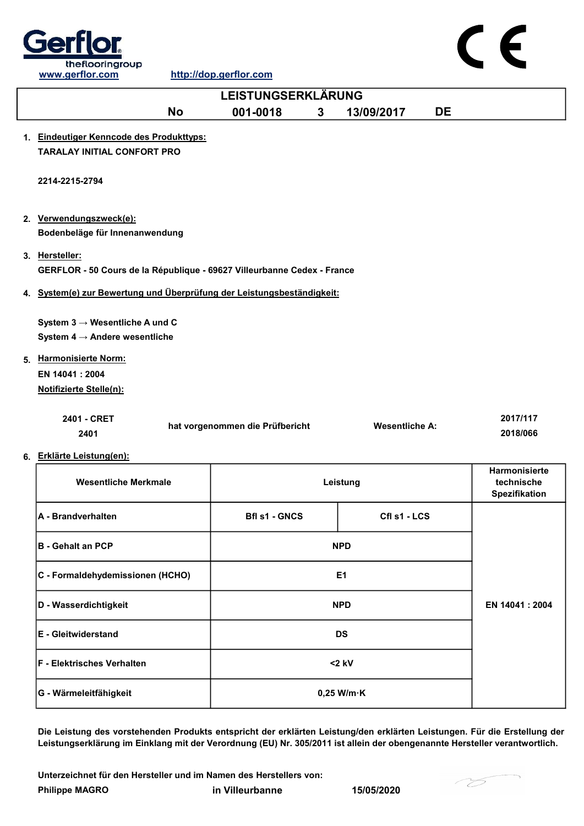



| <b>LEISTUNGSERKLÄRUNG</b>                                                                 |                                 |   |                       |           |                                              |
|-------------------------------------------------------------------------------------------|---------------------------------|---|-----------------------|-----------|----------------------------------------------|
| <b>No</b>                                                                                 | 001-0018                        | 3 | 13/09/2017            | <b>DE</b> |                                              |
| 1. Eindeutiger Kenncode des Produkttyps:                                                  |                                 |   |                       |           |                                              |
| <b>TARALAY INITIAL CONFORT PRO</b>                                                        |                                 |   |                       |           |                                              |
| 2214-2215-2794                                                                            |                                 |   |                       |           |                                              |
| 2. Verwendungszweck(e):                                                                   |                                 |   |                       |           |                                              |
| Bodenbeläge für Innenanwendung                                                            |                                 |   |                       |           |                                              |
| 3. Hersteller:<br>GERFLOR - 50 Cours de la République - 69627 Villeurbanne Cedex - France |                                 |   |                       |           |                                              |
| 4. System(e) zur Bewertung und Überprüfung der Leistungsbeständigkeit:                    |                                 |   |                       |           |                                              |
| System $3 \rightarrow$ Wesentliche A und C<br>System 4 $\rightarrow$ Andere wesentliche   |                                 |   |                       |           |                                              |
| 5. Harmonisierte Norm:                                                                    |                                 |   |                       |           |                                              |
| EN 14041: 2004                                                                            |                                 |   |                       |           |                                              |
| <b>Notifizierte Stelle(n):</b>                                                            |                                 |   |                       |           |                                              |
| 2401 - CRET<br>2401                                                                       | hat vorgenommen die Prüfbericht |   | <b>Wesentliche A:</b> |           | 2017/117<br>2018/066                         |
| 6. Erklärte Leistung(en):                                                                 |                                 |   |                       |           |                                              |
| <b>Wesentliche Merkmale</b>                                                               |                                 |   | Leistung              |           | Harmonisierte<br>technische<br>Spezifikation |
| A - Brandverhalten                                                                        | <b>Bfl s1 - GNCS</b>            |   | Cfl s1 - LCS          |           |                                              |
| <b>B</b> - Gehalt an PCP                                                                  |                                 |   | <b>NPD</b>            |           |                                              |
| C - Formaldehydemissionen (HCHO)                                                          |                                 |   | E <sub>1</sub>        |           |                                              |
| D - Wasserdichtigkeit                                                                     |                                 |   | <b>NPD</b>            |           | EN 14041: 2004                               |
| E - Gleitwiderstand                                                                       |                                 |   | <b>DS</b>             |           |                                              |

Die Leistung des vorstehenden Produkts entspricht der erklärten Leistung/den erklärten Leistungen. Für die Erstellung der Leistungserklärung im Einklang mit der Verordnung (EU) Nr. 305/2011 ist allein der obengenannte Hersteller verantwortlich.

Philippe MAGRO in Villeurbanne 15/05/2020 Unterzeichnet für den Hersteller und im Namen des Herstellers von:

F - Elektrisches Verhalten and Elektrisches Verhalten and Elektrisches Verhalten and Elektrisches V

G - Wärmeleitfähigkeit  $0,25$  W/m·K

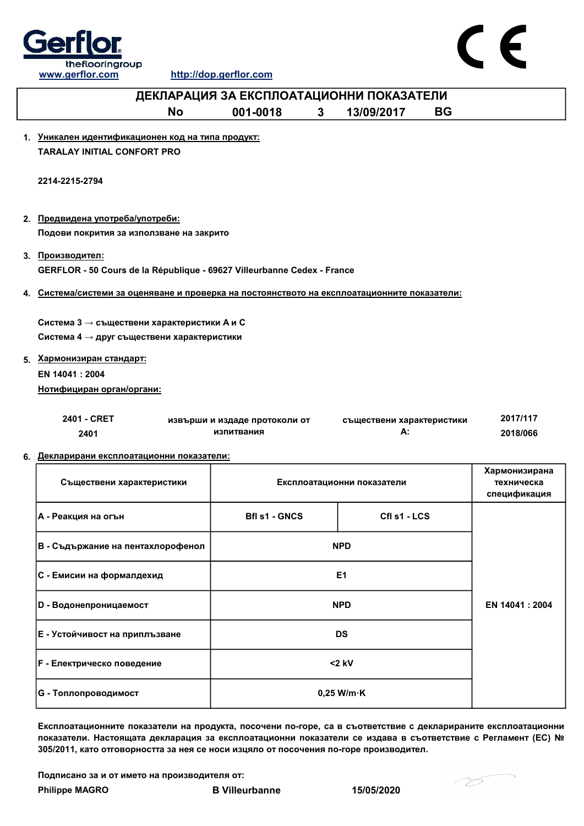



| ДЕКЛАРАЦИЯ ЗА ЕКСПЛОАТАЦИОННИ ПОКАЗАТЕЛИ                                                     |                                             |                 |                                 |           |                                             |
|----------------------------------------------------------------------------------------------|---------------------------------------------|-----------------|---------------------------------|-----------|---------------------------------------------|
| <b>No</b>                                                                                    | 001-0018                                    | $3\phantom{.0}$ | 13/09/2017                      | <b>BG</b> |                                             |
| 1. Уникален идентификационен код на типа продукт:<br><b>TARALAY INITIAL CONFORT PRO</b>      |                                             |                 |                                 |           |                                             |
| 2214-2215-2794                                                                               |                                             |                 |                                 |           |                                             |
| 2. Предвидена употреба/употреби:<br>Подови покрития за използване на закрито                 |                                             |                 |                                 |           |                                             |
| 3. Производител:<br>GERFLOR - 50 Cours de la République - 69627 Villeurbanne Cedex - France  |                                             |                 |                                 |           |                                             |
| 4. Система/системи за оценяване и проверка на постоянството на експлоатационните показатели: |                                             |                 |                                 |           |                                             |
| Система 3 → съществени характеристики А и С<br>Система 4 → друг съществени характеристики    |                                             |                 |                                 |           |                                             |
| 5. Хармонизиран стандарт:                                                                    |                                             |                 |                                 |           |                                             |
| EN 14041 : 2004<br>Нотифициран орган/органи:                                                 |                                             |                 |                                 |           |                                             |
|                                                                                              |                                             |                 |                                 |           |                                             |
| 2401 - CRET<br>2401                                                                          | извърши и издаде протоколи от<br>изпитвания |                 | съществени характеристики<br>А: |           | 2017/117<br>2018/066                        |
| 6. Декларирани експлоатационни показатели:                                                   |                                             |                 |                                 |           |                                             |
| Съществени характеристики                                                                    |                                             |                 | Експлоатационни показатели      |           | Хармонизирана<br>техническа<br>спецификация |
| А - Реакция на огън                                                                          | <b>Bfl s1 - GNCS</b>                        |                 | Cfl s1 - LCS                    |           |                                             |
| В - Съдържание на пентахлорофенол                                                            |                                             |                 | <b>NPD</b>                      |           |                                             |
| С - Емисии на формалдехид                                                                    |                                             |                 | E1                              |           |                                             |
| <b>D</b> - Водонепроницаемост                                                                |                                             |                 | <b>NPD</b>                      |           | EN 14041 : 2004                             |
| Е - Устойчивост на приплъзване                                                               |                                             |                 | <b>DS</b>                       |           |                                             |

Експлоатационните показатели на продукта, посочени по-горе, са в съответствие с декларираните експлоатационни показатели. Настоящата декларация за експлоатационни показатели се издава в съответствие с Регламент (ЕС) № 305/2011, като отговорността за нея се носи изцяло от посочения по-горе производител.

Подписано за и от името на производителя от:

F - Електрическо поведение <2 kV

G - Топлопроводимост Родов и профизика и профизика в 10,25 W/m·K

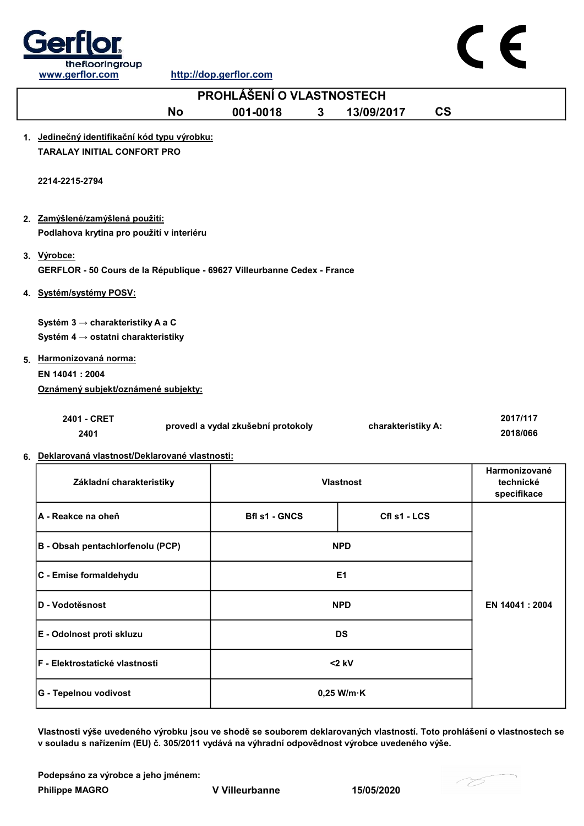



## No 001-0018 3 13/09/2017 CS 1. Jedinečný identifikační kód typu výrobku: TARALAY INITIAL CONFORT PRO 2. <u>Zamýšlené/zamýšlená použití:</u> 3. Výrobce: 4. Systém/systémy POSV: 5. Harmonizovaná norma: 2401 - CRET 2401 EN 14041 : 2004 Oznámený subjekt/oznámené subjekty: 2017/117 2018/066 PROHLÁŠENÍ O VLASTNOSTECH 2214-2215-2794 Podlahova krytina pro použití v interiéru GERFLOR - 50 Cours de la République - 69627 Villeurbanne Cedex - France Systém 3 → charakteristiky A a C Systém 4 → ostatni charakteristiky provedl a vydal zkušební protokoly charakteristiky A:

6. Deklarovaná vlastnost/Deklarované vlastnosti:

| Základní charakteristiky         | <b>Vlastnost</b>                     | Harmonizované<br>technické<br>specifikace |  |
|----------------------------------|--------------------------------------|-------------------------------------------|--|
| <b>IA - Reakce na oheň</b>       | Cfl s1 - LCS<br><b>Bfl s1 - GNCS</b> |                                           |  |
| B - Obsah pentachlorfenolu (PCP) | <b>NPD</b>                           |                                           |  |
| C - Emise formaldehydu           | E <sub>1</sub>                       |                                           |  |
| D - Vodotěsnost                  | <b>NPD</b>                           | EN 14041 : 2004                           |  |
| E - Odolnost proti skluzu        | <b>DS</b>                            |                                           |  |
| F - Elektrostatické vlastnosti   | $<$ 2 kV                             |                                           |  |
| G - Tepelnou vodivost            | $0,25$ W/m $\cdot$ K                 |                                           |  |

Vlastnosti výše uvedeného výrobku jsou ve shodě se souborem deklarovaných vlastností. Toto prohlášení o vlastnostech se v souladu s nařízením (EU) č. 305/2011 vydává na výhradní odpovědnost výrobce uvedeného výše.

Philippe MAGRO **V** Villeurbanne 15/05/2020 Podepsáno za výrobce a jeho jménem:

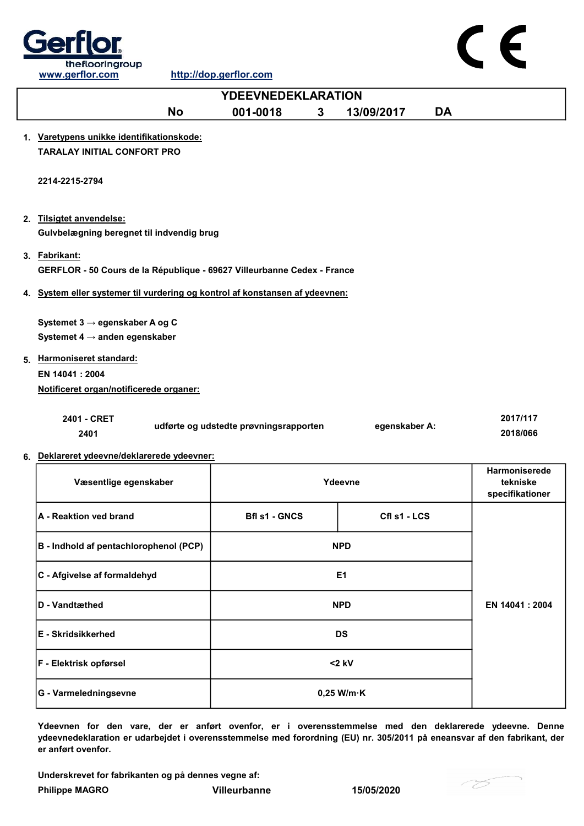



Ydeevnen for den vare, der er anført ovenfor, er i overensstemmelse med den deklarerede ydeevne. Denne ydeevnedeklaration er udarbejdet i overensstemmelse med forordning (EU) nr. 305/2011 på eneansvar af den fabrikant, der er anført ovenfor.

DS

Underskrevet for fabrikanten og på dennes vegne af:

F - Elektrisk opførsel <2 kV

G - Varmeledningsevne by a control of the U and O,25 W/m·K

Philippe MAGRO Villeurbanne 15/05/2020

E - Skridsikkerhed

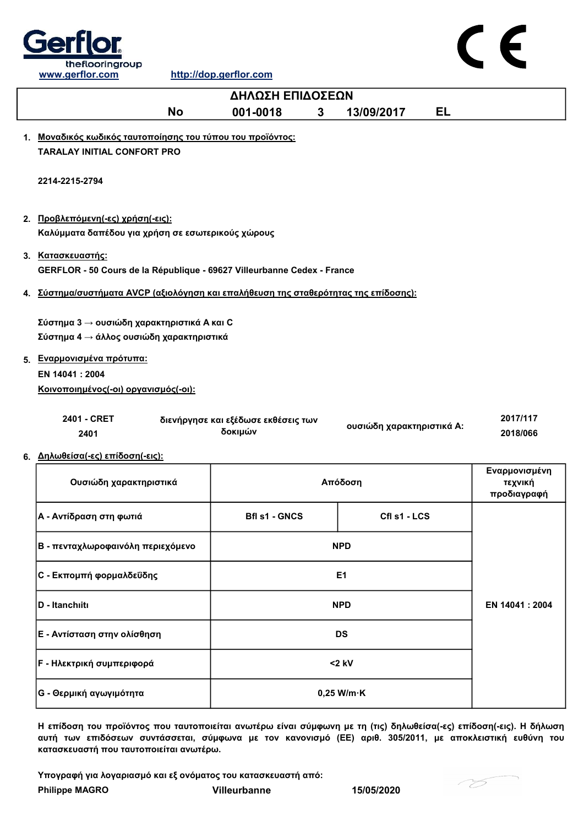

| ΔΗΛΩΣΗ ΕΠΙΔΟΣΕΩΝ                                                                                                                                                               |                                                |                |                           |                                         |
|--------------------------------------------------------------------------------------------------------------------------------------------------------------------------------|------------------------------------------------|----------------|---------------------------|-----------------------------------------|
| <b>No</b>                                                                                                                                                                      | 001-0018<br>3                                  |                | <b>EL</b><br>13/09/2017   |                                         |
| 1. Μοναδικός κωδικός ταυτοποίησης του τύπου του προϊόντος:<br><b>TARALAY INITIAL CONFORT PRO</b>                                                                               |                                                |                |                           |                                         |
| 2214-2215-2794                                                                                                                                                                 |                                                |                |                           |                                         |
| 2. Προβλεπόμενη(-ες) χρήση(-εις):<br>Καλύμματα δαπέδου για χρήση σε εσωτερικούς χώρους                                                                                         |                                                |                |                           |                                         |
| 3. Κατασκευαστής:<br>GERFLOR - 50 Cours de la République - 69627 Villeurbanne Cedex - France                                                                                   |                                                |                |                           |                                         |
| 4. Σύστημα/συστήματα AVCP (αξιολόγηση και επαλήθευση της σταθερότητας της επίδοσης) <u>:</u>                                                                                   |                                                |                |                           |                                         |
| Σύστημα 3 → ουσιώδη χαρακτηριστικά Α και C<br>Σύστημα 4 → άλλος ουσιώδη χαρακτηριστικά<br>5. Εναρμονισμένα πρότυπα:<br>EN 14041 : 2004<br>Κοινοποιημένος(-οι) οργανισμός(-οι): |                                                |                |                           |                                         |
| 2401 - CRET<br>2401                                                                                                                                                            | διενήργησε και εξέδωσε εκθέσεις των<br>δοκιμών |                | ουσιώδη χαρακτηριστικά Α: | 2017/117<br>2018/066                    |
| 6. Δηλωθείσα(-ες) επίδοση(-εις):<br>Ουσιώδη χαρακτηριστικά                                                                                                                     |                                                |                | Απόδοση                   | Εναρμονισμένη<br>τεχνική<br>προδιαγραφή |
| Α - Αντίδραση στη φωτιά                                                                                                                                                        | <b>Bfl s1 - GNCS</b>                           |                | Cfl s1 - LCS              |                                         |
| Β - πενταχλωροφαινόλη περιεχόμενο                                                                                                                                              |                                                | <b>NPD</b>     |                           |                                         |
| C - Εκπομπή φορμαλδεΰδης                                                                                                                                                       |                                                | E <sub>1</sub> |                           |                                         |
| D - Itanchiiti                                                                                                                                                                 |                                                | <b>NPD</b>     |                           | EN 14041 : 2004                         |
| Ε - Αντίσταση στην ολίσθηση                                                                                                                                                    |                                                | <b>DS</b>      |                           |                                         |
| <b>F</b> - Ηλεκτρική συμπεριφορά                                                                                                                                               |                                                | $<$ 2 kV       |                           |                                         |
|                                                                                                                                                                                |                                                |                |                           |                                         |

Η επίδοση του προϊόντος που ταυτοποιείται ανωτέρω είναι σύμφωνη με τη (τις) δηλωθείσα(-ες) επίδοση(-εις). Η δήλωση αυτή των επιδόσεων συντάσσεται, σύμφωνα με τον κανονισμό (ΕΕ) αριθ. 305/2011, με αποκλειστική ευθύνη του κατασκευαστή που ταυτοποιείται ανωτέρω.

Υπογραφή για λογαριασμό και εξ ονόματος του κατασκευαστή από:

G - Θερμική αγωγιμότητα 0,25 W/m·K

Philippe MAGRO Villeurbanne 15/05/2020

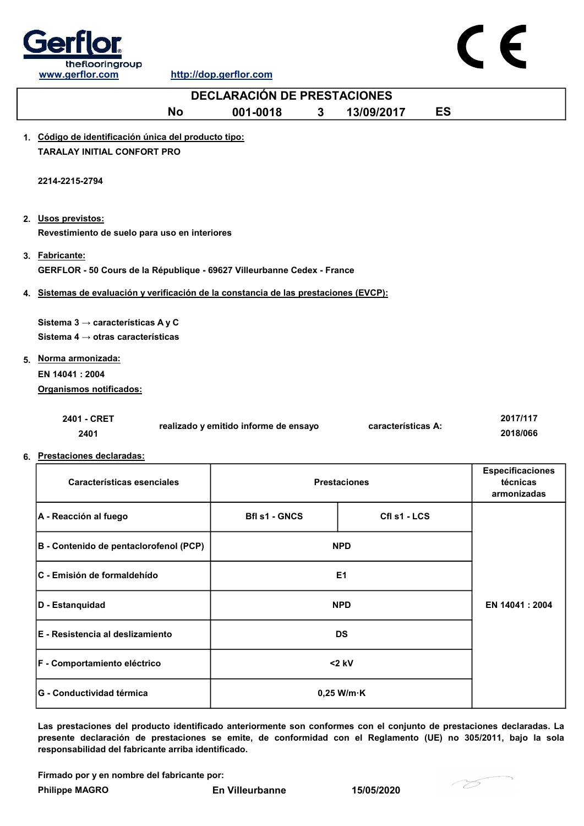

| <b>DECLARACIÓN DE PRESTACIONES</b>                                                    |                                       |   |                     |           |                         |  |
|---------------------------------------------------------------------------------------|---------------------------------------|---|---------------------|-----------|-------------------------|--|
| <b>No</b>                                                                             | 001-0018                              | 3 | 13/09/2017          | <b>ES</b> |                         |  |
| 1. Código de identificación única del producto tipo:                                  |                                       |   |                     |           |                         |  |
| <b>TARALAY INITIAL CONFORT PRO</b>                                                    |                                       |   |                     |           |                         |  |
| 2214-2215-2794                                                                        |                                       |   |                     |           |                         |  |
|                                                                                       |                                       |   |                     |           |                         |  |
| 2. Usos previstos:                                                                    |                                       |   |                     |           |                         |  |
| Revestimiento de suelo para uso en interiores                                         |                                       |   |                     |           |                         |  |
| 3. Fabricante:                                                                        |                                       |   |                     |           |                         |  |
| GERFLOR - 50 Cours de la République - 69627 Villeurbanne Cedex - France               |                                       |   |                     |           |                         |  |
| 4. Sistemas de evaluación y verificación de la constancia de las prestaciones (EVCP): |                                       |   |                     |           |                         |  |
| Sistema 3 $\rightarrow$ características A y C                                         |                                       |   |                     |           |                         |  |
| Sistema 4 $\rightarrow$ otras características                                         |                                       |   |                     |           |                         |  |
| 5. Norma armonizada:                                                                  |                                       |   |                     |           |                         |  |
| EN 14041 : 2004                                                                       |                                       |   |                     |           |                         |  |
| Organismos notificados:                                                               |                                       |   |                     |           |                         |  |
| 2401 - CRET                                                                           |                                       |   |                     |           | 2017/117                |  |
| 2401                                                                                  | realizado y emitido informe de ensayo |   | características A:  |           | 2018/066                |  |
| 6. Prestaciones declaradas:                                                           |                                       |   |                     |           |                         |  |
|                                                                                       |                                       |   |                     |           | <b>Especificaciones</b> |  |
| <b>Características esenciales</b>                                                     |                                       |   | <b>Prestaciones</b> |           | técnicas<br>armonizadas |  |
| A - Reacción al fuego                                                                 | <b>Bfl s1 - GNCS</b>                  |   | Cfl s1 - LCS        |           |                         |  |
|                                                                                       |                                       |   |                     |           |                         |  |
| B - Contenido de pentaclorofenol (PCP)                                                |                                       |   | <b>NPD</b>          |           |                         |  |
| C - Emisión de formaldehído                                                           |                                       |   | E1                  |           |                         |  |
| D - Estanquidad                                                                       |                                       |   | <b>NPD</b>          |           | EN 14041 : 2004         |  |

Las prestaciones del producto identificado anteriormente son conformes con el conjunto de prestaciones declaradas. La presente declaración de prestaciones se emite, de conformidad con el Reglamento (UE) no 305/2011, bajo la sola responsabilidad del fabricante arriba identificado.

Firmado por y en nombre del fabricante por:

E - Resistencia al deslizamiento DS

F - Comportamiento eléctrico <2 kV

G - Conductividad térmica 0,25 W/m·K

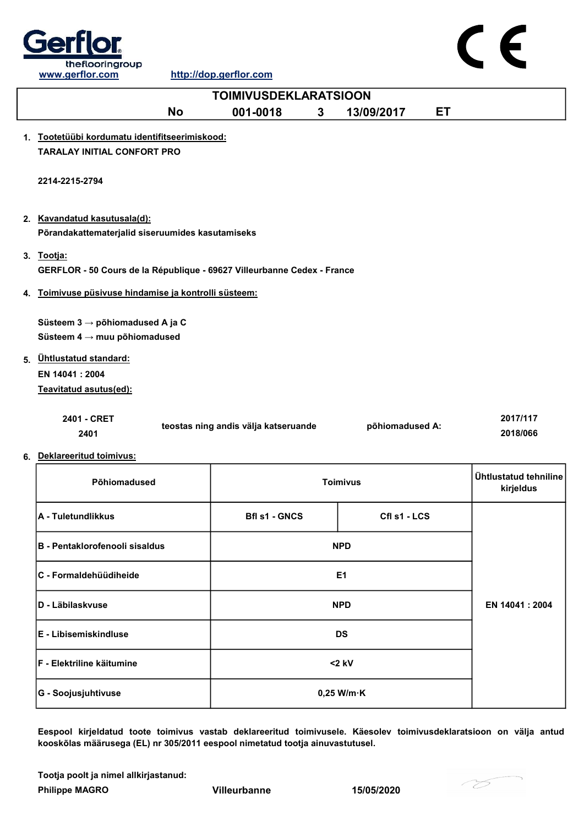



Eespool kirjeldatud toote toimivus vastab deklareeritud toimivusele. Käesolev toimivusdeklaratsioon on välja antud kooskõlas määrusega (EL) nr 305/2011 eespool nimetatud tootja ainuvastutusel.

Tootja poolt ja nimel allkirjastanud:

Philippe MAGRO **Villeurbanne** 15/05/2020

G - Soojusjuhtivuse and the contract of the contract of the contract of the contract of the contract of the contract of the contract of the contract of the contract of the contract of the contract of the contract of the co

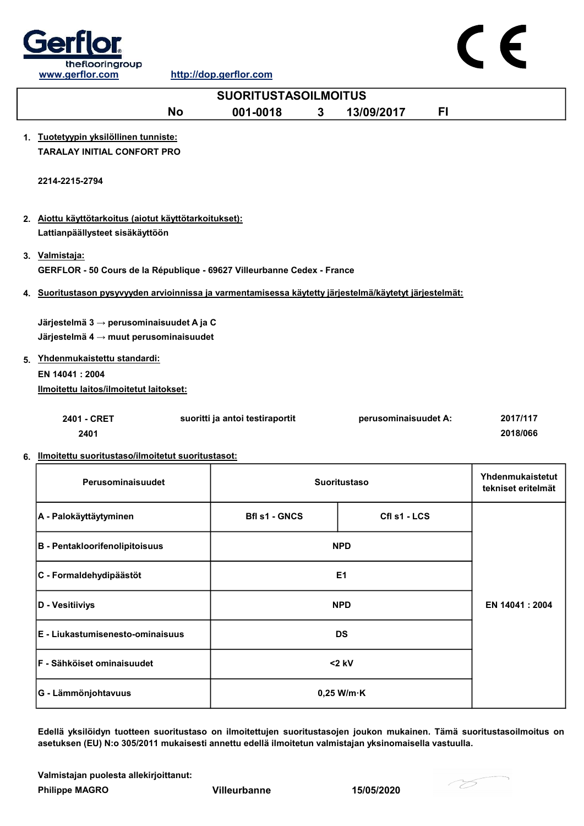

| <b>SUORITUSTASOILMOITUS</b>                                                                                |                                 |   |                      |     |                    |
|------------------------------------------------------------------------------------------------------------|---------------------------------|---|----------------------|-----|--------------------|
| <b>No</b>                                                                                                  | 001-0018                        | 3 | 13/09/2017           | FI. |                    |
| 1. Tuotetyypin yksilöllinen tunniste:                                                                      |                                 |   |                      |     |                    |
| <b>TARALAY INITIAL CONFORT PRO</b>                                                                         |                                 |   |                      |     |                    |
|                                                                                                            |                                 |   |                      |     |                    |
| 2214-2215-2794                                                                                             |                                 |   |                      |     |                    |
|                                                                                                            |                                 |   |                      |     |                    |
| 2. Aiottu käyttötarkoitus (aiotut käyttötarkoitukset):                                                     |                                 |   |                      |     |                    |
| Lattianpäällysteet sisäkäyttöön                                                                            |                                 |   |                      |     |                    |
| 3. Valmistaja:                                                                                             |                                 |   |                      |     |                    |
| GERFLOR - 50 Cours de la République - 69627 Villeurbanne Cedex - France                                    |                                 |   |                      |     |                    |
| 4. Suoritustason pysyvyyden arvioinnissa ja varmentamisessa käytetty järjestelmä/käytetyt järjestelmät:    |                                 |   |                      |     |                    |
|                                                                                                            |                                 |   |                      |     |                    |
| Järjestelmä 3 $\rightarrow$ perusominaisuudet A ja C<br>Järjestelmä $4 \rightarrow$ muut perusominaisuudet |                                 |   |                      |     |                    |
|                                                                                                            |                                 |   |                      |     |                    |
| 5. Yhdenmukaistettu standardi:                                                                             |                                 |   |                      |     |                    |
| EN 14041 : 2004<br>Ilmoitettu laitos/ilmoitetut laitokset:                                                 |                                 |   |                      |     |                    |
|                                                                                                            |                                 |   |                      |     |                    |
| 2401 - CRET                                                                                                | suoritti ja antoi testiraportit |   | perusominaisuudet A: |     | 2017/117           |
| 2401                                                                                                       |                                 |   |                      |     | 2018/066           |
| 6. Ilmoitettu suoritustaso/ilmoitetut suoritustasot:                                                       |                                 |   |                      |     |                    |
| Perusominaisuudet                                                                                          |                                 |   | <b>Suoritustaso</b>  |     | Yhdenmukaistetut   |
|                                                                                                            |                                 |   |                      |     | tekniset eritelmät |
| A - Palokäyttäytyminen                                                                                     | <b>Bfl s1 - GNCS</b>            |   | Cfl s1 - LCS         |     |                    |
|                                                                                                            |                                 |   |                      |     |                    |
| <b>B</b> - Pentakloorifenolipitoisuus                                                                      |                                 |   | <b>NPD</b>           |     |                    |
|                                                                                                            |                                 |   | E <sub>1</sub>       |     |                    |
| C - Formaldehydipäästöt                                                                                    |                                 |   |                      |     |                    |
| D - Vesitiiviys                                                                                            |                                 |   | <b>NPD</b>           |     | EN 14041 : 2004    |
|                                                                                                            |                                 |   |                      |     |                    |
| E - Liukastumisenesto-ominaisuus                                                                           |                                 |   | <b>DS</b>            |     |                    |

Edellä yksilöidyn tuotteen suoritustaso on ilmoitettujen suoritustasojen joukon mukainen. Tämä suoritustasoilmoitus on asetuksen (EU) N:o 305/2011 mukaisesti annettu edellä ilmoitetun valmistajan yksinomaisella vastuulla.

0,25 W/m·K

Valmistajan puolesta allekirjoittanut:

Philippe MAGRO Villeurbanne 15/05/2020

G - Lämmönjohtavuus

F - Sähköiset ominaisuudet <2 kV

75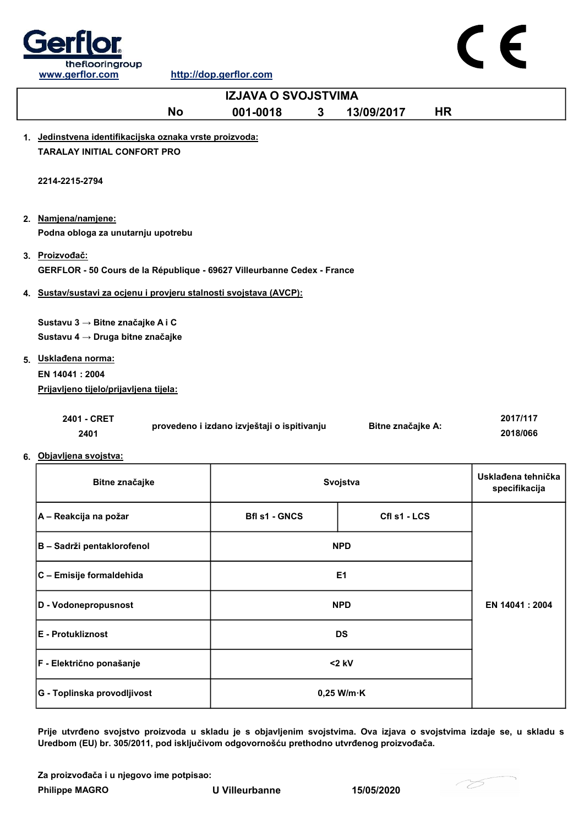



Prije utvrđeno svojstvo proizvoda u skladu je s objavljenim svojstvima. Ova izjava o svojstvima izdaje se, u skladu s Uredbom (EU) br. 305/2011, pod isključivom odgovornošću prethodno utvrđenog proizvođača.

Za proizvođača i u njegovo ime potpisao:

Philippe MAGRO U Villeurbanne 15/05/2020

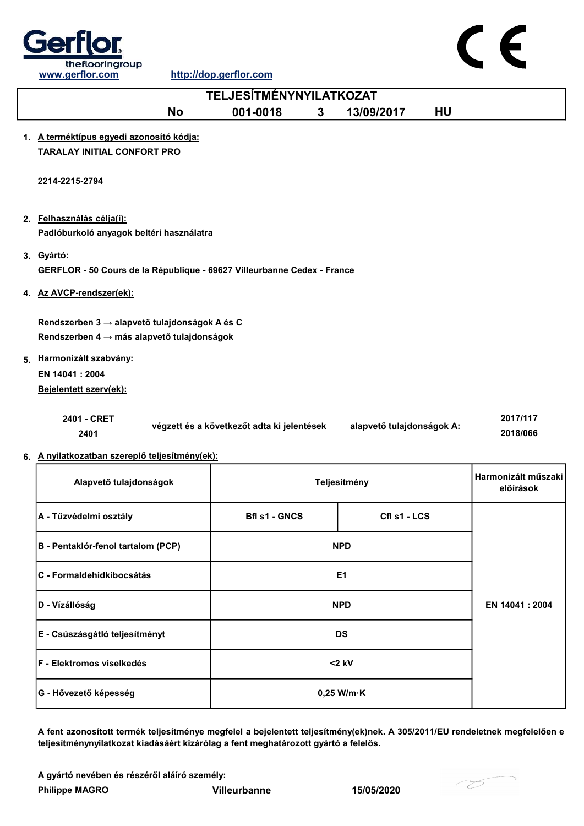



GERFLOR - 50 Cours de la République - 69627 Villeurbanne Cedex - France

4. Az AVCP-rendszer(ek):

3. Gyártó:

Rendszerben 3 → alapvető tulajdonságok A és C Rendszerben 4 → más alapvető tulajdonságok

5. Harmonizált szabvány: EN 14041 : 2004 Bejelentett szerv(ek):

| 2401 - CRET | végzett és a következőt adta ki jelentések | alapvető tulajdonságok A: | 2017/117 |
|-------------|--------------------------------------------|---------------------------|----------|
| 2401        |                                            |                           | 2018/066 |

6. A nyilatkozatban szereplő teljesítmény(ek):

| Alapvető tulajdonságok             | Teljesítmény                         | Harmonizált műszaki<br>előírások |                 |
|------------------------------------|--------------------------------------|----------------------------------|-----------------|
| A - Tűzvédelmi osztály             | <b>Bfl s1 - GNCS</b><br>Cfl s1 - LCS |                                  |                 |
| B - Pentaklór-fenol tartalom (PCP) | <b>NPD</b>                           |                                  |                 |
| lC - Formaldehidkibocsátás         | E <sub>1</sub>                       |                                  |                 |
| D - Vízállóság                     | <b>NPD</b>                           |                                  | EN 14041 : 2004 |
| E - Csúszásgátló teljesítményt     | <b>DS</b>                            |                                  |                 |
| <b>IF - Elektromos viselkedés</b>  | $<$ 2 kV                             |                                  |                 |
| G - Hővezető képesség              | $0,25$ W/m $\cdot$ K                 |                                  |                 |

A fent azonosított termék teljesítménye megfelel a bejelentett teljesítmény(ek)nek. A 305/2011/EU rendeletnek megfelelően e teljesítménynyilatkozat kiadásáért kizárólag a fent meghatározott gyártó a felelős.

A gyártó nevében és részéről aláíró személy:

Philippe MAGRO Villeurbanne 15/05/2020

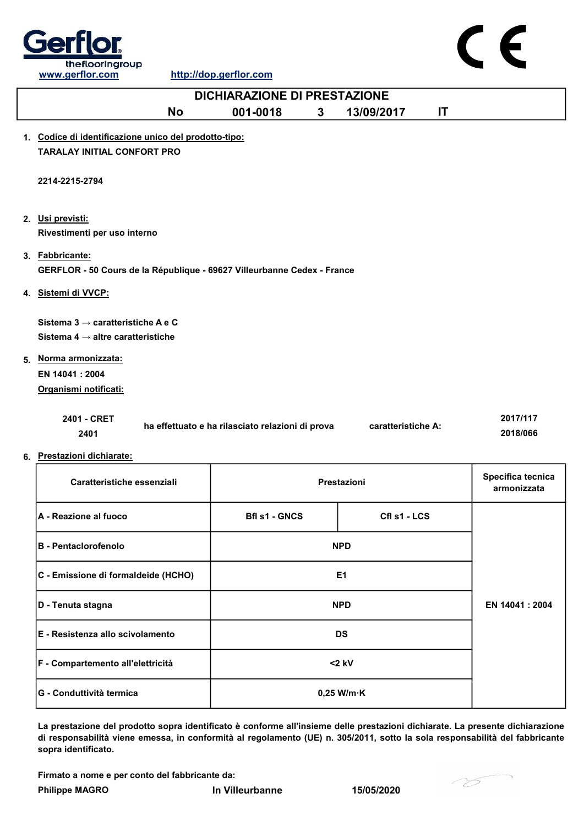

## No 001-0018 3 13/09/2017 IT 1. Codice di identificazione unico del prodotto-tipo: TARALAY INITIAL CONFORT PRO 2. Usi previsti: 3. Fabbricante: 4. <u>Sistemi di VVCP:</u> 5. Norma armonizzata:  $2401 - 270$ EN 14041 : 2004 Organismi notificati: . . . . . . . <u>.</u> Sistema 3  $\rightarrow$  caratteristiche A e C Sistema 4  $\rightarrow$  altre caratteristiche DICHIARAZIONE DI PRESTAZIONE 2214-2215-2794 Rivestimenti per uso interno GERFLOR - 50 Cours de la République - 69627 Villeurbanne Cedex - France

| 2401 - CRET | ha effettuato e ha rilasciato relazioni di prova | caratteristiche A: | 2017/117 |
|-------------|--------------------------------------------------|--------------------|----------|
| 2401        |                                                  |                    | 2018/066 |

6. Prestazioni dichiarate:

| Caratteristiche essenziali                            | Prestazioni                          | Specifica tecnica<br>armonizzata |                 |
|-------------------------------------------------------|--------------------------------------|----------------------------------|-----------------|
| <b>A - Reazione al fuoco</b>                          | CfI s1 - LCS<br><b>Bfl s1 - GNCS</b> |                                  |                 |
| <b>B - Pentaclorofenolo</b>                           | <b>NPD</b>                           |                                  |                 |
| C - Emissione di formaldeide (HCHO)                   | E <sub>1</sub>                       |                                  |                 |
| D - Tenuta stagna                                     | <b>NPD</b>                           |                                  | EN 14041 : 2004 |
| <b>IE - Resistenza allo scivolamento</b><br><b>DS</b> |                                      |                                  |                 |
| F - Compartemento all'elettricità                     | $<$ 2 kV                             |                                  |                 |
| <b>IG - Conduttività termica</b>                      | $0,25$ W/m $\cdot$ K                 |                                  |                 |

La prestazione del prodotto sopra identificato è conforme all'insieme delle prestazioni dichiarate. La presente dichiarazione di responsabilità viene emessa, in conformità al regolamento (UE) n. 305/2011, sotto la sola responsabilità del fabbricante sopra identificato.

Firmato a nome e per conto del fabbricante da:

Philippe MAGRO **In Villeurbanne** 15/05/2020

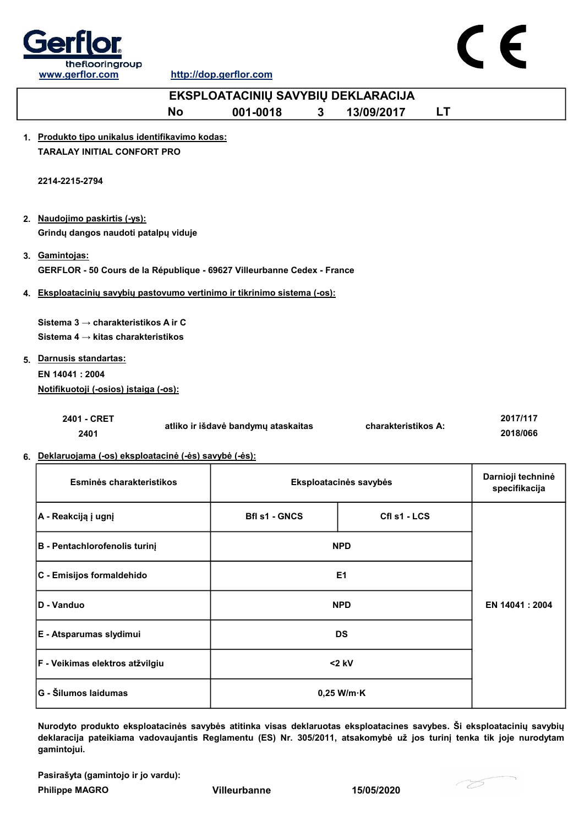



| www.gerflor.com                                                           |           | http://dop.gerflor.com              |              |                        |           |                   |
|---------------------------------------------------------------------------|-----------|-------------------------------------|--------------|------------------------|-----------|-------------------|
|                                                                           |           | EKSPLOATACINIŲ SAVYBIŲ DEKLARACIJA  |              |                        |           |                   |
|                                                                           | <b>No</b> | 001-0018                            | $\mathbf{3}$ | 13/09/2017             | <b>LT</b> |                   |
| 1. Produkto tipo unikalus identifikavimo kodas:                           |           |                                     |              |                        |           |                   |
| <b>TARALAY INITIAL CONFORT PRO</b>                                        |           |                                     |              |                        |           |                   |
|                                                                           |           |                                     |              |                        |           |                   |
| 2214-2215-2794                                                            |           |                                     |              |                        |           |                   |
|                                                                           |           |                                     |              |                        |           |                   |
| 2. Naudojimo paskirtis (-ys):                                             |           |                                     |              |                        |           |                   |
| Grindų dangos naudoti patalpų viduje                                      |           |                                     |              |                        |           |                   |
| 3. Gamintojas:                                                            |           |                                     |              |                        |           |                   |
| GERFLOR - 50 Cours de la République - 69627 Villeurbanne Cedex - France   |           |                                     |              |                        |           |                   |
| 4. Eksploatacinių savybių pastovumo vertinimo ir tikrinimo sistema (-os): |           |                                     |              |                        |           |                   |
|                                                                           |           |                                     |              |                        |           |                   |
| Sistema 3 → charakteristikos A ir C                                       |           |                                     |              |                        |           |                   |
| Sistema 4 $\rightarrow$ kitas charakteristikos                            |           |                                     |              |                        |           |                   |
| 5. Darnusis standartas:                                                   |           |                                     |              |                        |           |                   |
| EN 14041 : 2004                                                           |           |                                     |              |                        |           |                   |
| Notifikuotoji (-osios) įstaiga (-os):                                     |           |                                     |              |                        |           |                   |
| 2401 - CRET                                                               |           |                                     |              |                        |           | 2017/117          |
| 2401                                                                      |           | atliko ir išdavė bandymų ataskaitas |              | charakteristikos A:    |           | 2018/066          |
| 6. Deklaruojama (-os) eksploatacinė (-ės) savybė (-ės):                   |           |                                     |              |                        |           |                   |
|                                                                           |           |                                     |              |                        |           | Darnioji techninė |
| Esminės charakteristikos                                                  |           |                                     |              | Eksploatacinės savybės |           | specifikacija     |
|                                                                           |           |                                     |              |                        |           |                   |
| A - Reakciją į ugnį                                                       |           | <b>Bfl s1 - GNCS</b>                |              | Cfl s1 - LCS           |           |                   |
| <b>B</b> - Pentachlorofenolis turinį                                      |           |                                     |              | <b>NPD</b>             |           |                   |
|                                                                           |           |                                     |              |                        |           |                   |
| C - Emisijos formaldehido                                                 |           |                                     |              | E1                     |           |                   |
|                                                                           |           |                                     |              |                        |           |                   |

Nurodyto produkto eksploatacinės savybės atitinka visas deklaruotas eksploatacines savybes. Ši eksploatacinių savybių deklaracija pateikiama vadovaujantis Reglamentu (ES) Nr. 305/2011, atsakomybė už jos turinį tenka tik joje nurodytam gamintojui. <2 kV G - Šilumos laidumas **1986. gadā uz atstāvā uz Savādā uz Savādā uz Sav**ādā uz 0,25 W/m·K F - Veikimas elektros atžvilgiu

Pasirašyta (gamintojo ir jo vardu):

Philippe MAGRO Villeurbanne 15/05/2020

**D** - Vanduo NPD

E - Atsparumas slydimui DS



EN 14041 : 2004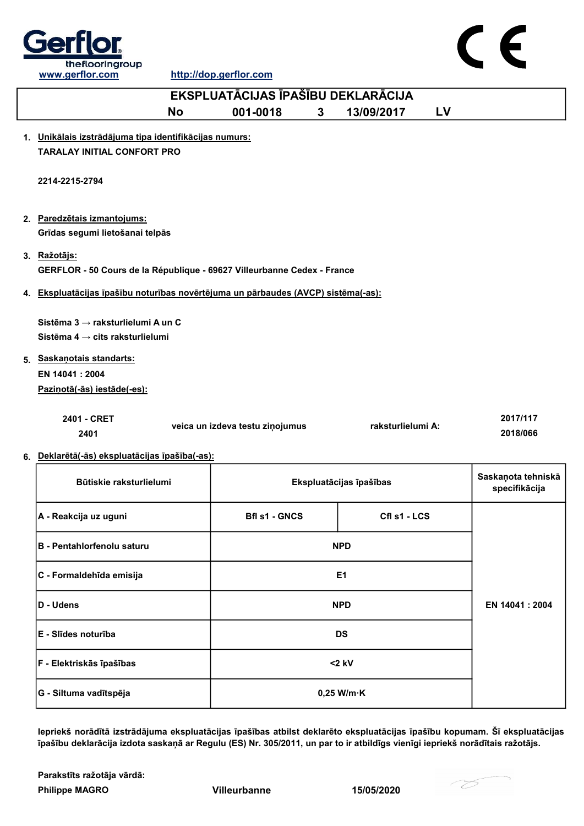

 $\epsilon$ 

http://dop.gerflor.com

|    | EKSPLUATĀCIJAS ĪPAŠĪBU DEKLARĀCIJA                                                                                                                             |                                 |                         |           |                                     |  |
|----|----------------------------------------------------------------------------------------------------------------------------------------------------------------|---------------------------------|-------------------------|-----------|-------------------------------------|--|
|    | No                                                                                                                                                             | 001-0018<br>3                   | 13/09/2017              | <b>LV</b> |                                     |  |
|    | 1. Unikālais izstrādājuma tipa identifikācijas numurs:<br><b>TARALAY INITIAL CONFORT PRO</b>                                                                   |                                 |                         |           |                                     |  |
|    | 2214-2215-2794                                                                                                                                                 |                                 |                         |           |                                     |  |
|    | 2. Paredzētais izmantojums:<br>Grīdas segumi lietošanai telpās                                                                                                 |                                 |                         |           |                                     |  |
|    | 3. Ražotājs:<br>GERFLOR - 50 Cours de la République - 69627 Villeurbanne Cedex - France                                                                        |                                 |                         |           |                                     |  |
|    | 4. Ekspluatācijas īpašību noturības novērtējuma un pārbaudes (AVCP) sistēma(-as):                                                                              |                                 |                         |           |                                     |  |
|    | Sistēma 3 → raksturlielumi A un C<br>Sistēma 4 $\rightarrow$ cits raksturlielumi<br>5. Saskanotais standarts:<br>EN 14041: 2004<br>Pazinotā(-ās) iestāde(-es): |                                 |                         |           |                                     |  |
|    | 2401 - CRET<br>2401                                                                                                                                            | veica un izdeva testu ziņojumus | raksturlielumi A:       |           | 2017/117<br>2018/066                |  |
| 6. | Deklarētā(-ās) ekspluatācijas īpašība(-as):                                                                                                                    |                                 |                         |           |                                     |  |
|    | Būtiskie raksturlielumi                                                                                                                                        |                                 | Ekspluatācijas īpašības |           | Saskaņota tehniskā<br>specifikācija |  |
|    | A - Reakcija uz uguni                                                                                                                                          | <b>Bfl s1 - GNCS</b>            | Cfl s1 - LCS            |           |                                     |  |
|    | <b>B</b> - Pentahlorfenolu saturu                                                                                                                              |                                 | <b>NPD</b>              |           |                                     |  |
|    | C - Formaldehīda emisija                                                                                                                                       |                                 | E <sub>1</sub>          |           |                                     |  |
|    | D - Udens                                                                                                                                                      |                                 | <b>NPD</b>              |           | EN 14041 : 2004                     |  |
|    | E - Slīdes noturība                                                                                                                                            |                                 | <b>DS</b>               |           |                                     |  |
|    | F - Elektriskās īpašības                                                                                                                                       |                                 | $<$ 2 kV                |           |                                     |  |
|    |                                                                                                                                                                |                                 |                         |           |                                     |  |

Iepriekš norādītā izstrādājuma ekspluatācijas īpašības atbilst deklarēto ekspluatācijas īpašību kopumam. Šī ekspluatācijas īpašību deklarācija izdota saskaņā ar Regulu (ES) Nr. 305/2011, un par to ir atbildīgs vienīgi iepriekš norādītais ražotājs.

Philippe MAGRO Villeurbanne 15/05/2020 Parakstīts ražotāja vārdā:

G - Siltuma vadītspēja 0,25 W/m·K

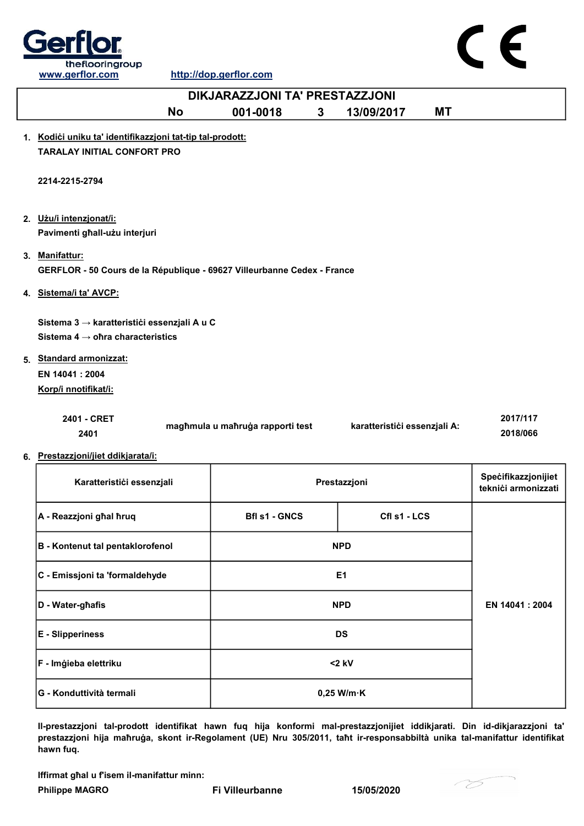

 $\epsilon$ 

http://dop.gerflor.com

| DIKJARAZZJONI TA' PRESTAZZJONI                                          |                                  |                |                              |           |                                            |
|-------------------------------------------------------------------------|----------------------------------|----------------|------------------------------|-----------|--------------------------------------------|
| <b>No</b>                                                               | 001-0018                         | $3\phantom{a}$ | 13/09/2017                   | <b>MT</b> |                                            |
| 1. Kodići uniku ta' identifikazzjoni tat-tip tal-prodott:               |                                  |                |                              |           |                                            |
| <b>TARALAY INITIAL CONFORT PRO</b>                                      |                                  |                |                              |           |                                            |
|                                                                         |                                  |                |                              |           |                                            |
| 2214-2215-2794                                                          |                                  |                |                              |           |                                            |
|                                                                         |                                  |                |                              |           |                                            |
| 2. Użu/i intenzjonat/i:                                                 |                                  |                |                              |           |                                            |
| Pavimenti għall-użu interjuri                                           |                                  |                |                              |           |                                            |
| 3. Manifattur:                                                          |                                  |                |                              |           |                                            |
| GERFLOR - 50 Cours de la République - 69627 Villeurbanne Cedex - France |                                  |                |                              |           |                                            |
| 4. Sistema/i ta' AVCP:                                                  |                                  |                |                              |           |                                            |
|                                                                         |                                  |                |                              |           |                                            |
| Sistema 3 → karatteristići essenzjali A u C                             |                                  |                |                              |           |                                            |
| Sistema 4 $\rightarrow$ ofira characteristics                           |                                  |                |                              |           |                                            |
| 5. Standard armonizzat:                                                 |                                  |                |                              |           |                                            |
| EN 14041: 2004                                                          |                                  |                |                              |           |                                            |
| Korp/i nnotifikat/i:                                                    |                                  |                |                              |           |                                            |
| 2401 - CRET                                                             |                                  |                |                              |           | 2017/117                                   |
| 2401                                                                    | magħmula u maħruġa rapporti test |                | karatteristići essenzjali A: |           | 2018/066                                   |
|                                                                         |                                  |                |                              |           |                                            |
| 6. Prestazzjoni/jiet ddikjarata/i:                                      |                                  |                |                              |           |                                            |
| Karatteristići essenzjali                                               |                                  |                | Prestazzjoni                 |           | Specifikazzjonijiet<br>teknići armonizzati |
|                                                                         |                                  |                |                              |           |                                            |
| A - Reazzjoni ghal hruq                                                 | <b>Bfl s1 - GNCS</b>             |                | Cfl s1 - LCS                 |           |                                            |
|                                                                         |                                  |                |                              |           |                                            |
| <b>B</b> - Kontenut tal pentaklorofenol                                 |                                  |                | <b>NPD</b>                   |           |                                            |
| C - Emissjoni ta 'formaldehyde                                          |                                  |                | E <sub>1</sub>               |           |                                            |
|                                                                         |                                  |                |                              |           |                                            |

| D - Water-ghafis         | <b>NPD</b>           | EN 14041 : 2004 |
|--------------------------|----------------------|-----------------|
| <b>E</b> - Slipperiness  | <b>DS</b>            |                 |
| F - Imģieba elettriku    | $<$ 2 kV             |                 |
| G - Konduttività termali | $0,25$ W/m $\cdot$ K |                 |

Il-prestazzjoni tal-prodott identifikat hawn fuq hija konformi mal-prestazzjonijiet iddikjarati. Din id-dikjarazzjoni ta' prestazzjoni hija maħruġa, skont ir-Regolament (UE) Nru 305/2011, taħt ir-responsabbiltà unika tal-manifattur identifikat hawn fuq.

Iffirmat għal u f'isem il-manifattur minn:

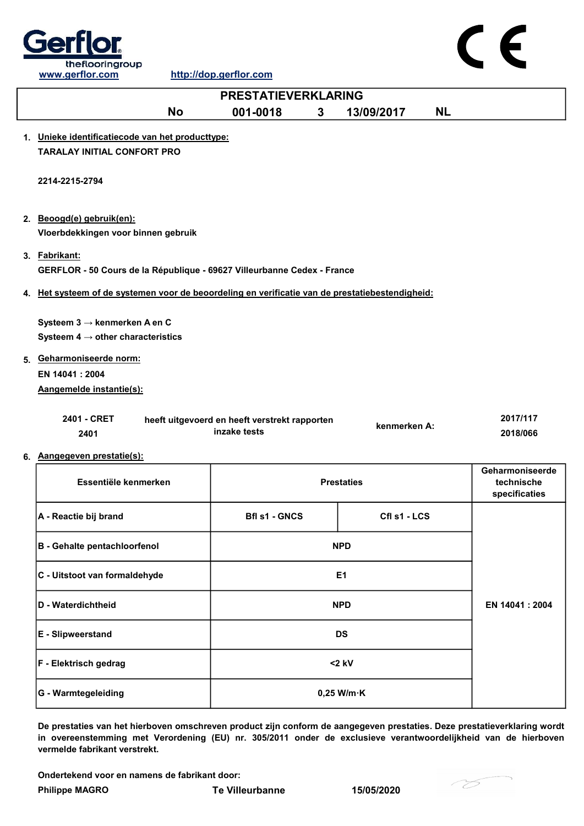

|                                                                                                 | <b>PRESTATIEVERKLARING</b>                    |   |                   |           |                 |
|-------------------------------------------------------------------------------------------------|-----------------------------------------------|---|-------------------|-----------|-----------------|
| <b>No</b>                                                                                       | 001-0018                                      | 3 | 13/09/2017        | <b>NL</b> |                 |
| 1. Unieke identificatiecode van het producttype:                                                |                                               |   |                   |           |                 |
| <b>TARALAY INITIAL CONFORT PRO</b>                                                              |                                               |   |                   |           |                 |
|                                                                                                 |                                               |   |                   |           |                 |
| 2214-2215-2794                                                                                  |                                               |   |                   |           |                 |
|                                                                                                 |                                               |   |                   |           |                 |
| 2. Beoogd(e) gebruik(en):                                                                       |                                               |   |                   |           |                 |
| Vloerbdekkingen voor binnen gebruik                                                             |                                               |   |                   |           |                 |
| 3. Fabrikant:                                                                                   |                                               |   |                   |           |                 |
| GERFLOR - 50 Cours de la République - 69627 Villeurbanne Cedex - France                         |                                               |   |                   |           |                 |
| 4. Het systeem of de systemen voor de beoordeling en verificatie van de prestatiebestendigheid: |                                               |   |                   |           |                 |
|                                                                                                 |                                               |   |                   |           |                 |
| Systeem $3 \rightarrow$ kenmerken A en C                                                        |                                               |   |                   |           |                 |
| Systeem $4 \rightarrow$ other characteristics                                                   |                                               |   |                   |           |                 |
| 5. Geharmoniseerde norm:                                                                        |                                               |   |                   |           |                 |
| EN 14041 : 2004                                                                                 |                                               |   |                   |           |                 |
| Aangemelde instantie(s):                                                                        |                                               |   |                   |           |                 |
| 2401 - CRET                                                                                     | heeft uitgevoerd en heeft verstrekt rapporten |   |                   |           | 2017/117        |
| 2401                                                                                            | inzake tests                                  |   | kenmerken A:      |           | 2018/066        |
| 6. Aangegeven prestatie(s):                                                                     |                                               |   |                   |           |                 |
|                                                                                                 |                                               |   |                   |           | Geharmoniseerde |
| Essentiële kenmerken                                                                            |                                               |   | <b>Prestaties</b> |           | technische      |
|                                                                                                 |                                               |   |                   |           | specificaties   |
| A - Reactie bij brand                                                                           | <b>Bfl s1 - GNCS</b>                          |   | Cfl s1 - LCS      |           |                 |
| <b>B</b> - Gehalte pentachloorfenol                                                             |                                               |   | <b>NPD</b>        |           |                 |
|                                                                                                 |                                               |   |                   |           |                 |
| C - Uitstoot van formaldehyde                                                                   |                                               |   | E <sub>1</sub>    |           |                 |
| D - Waterdichtheid                                                                              |                                               |   | <b>NPD</b>        |           | EN 14041: 2004  |
|                                                                                                 |                                               |   |                   |           |                 |

De prestaties van het hierboven omschreven product zijn conform de aangegeven prestaties. Deze prestatieverklaring wordt in overeenstemming met Verordening (EU) nr. 305/2011 onder de exclusieve verantwoordelijkheid van de hierboven vermelde fabrikant verstrekt.

Ondertekend voor en namens de fabrikant door:

F - Elektrisch gedrag <2 kV

E - Slipweerstand DS

G - Warmtegeleiding and the control of the control of the control of the control of the control of the control of the control of the control of the control of the control of the control of the control of the control of the

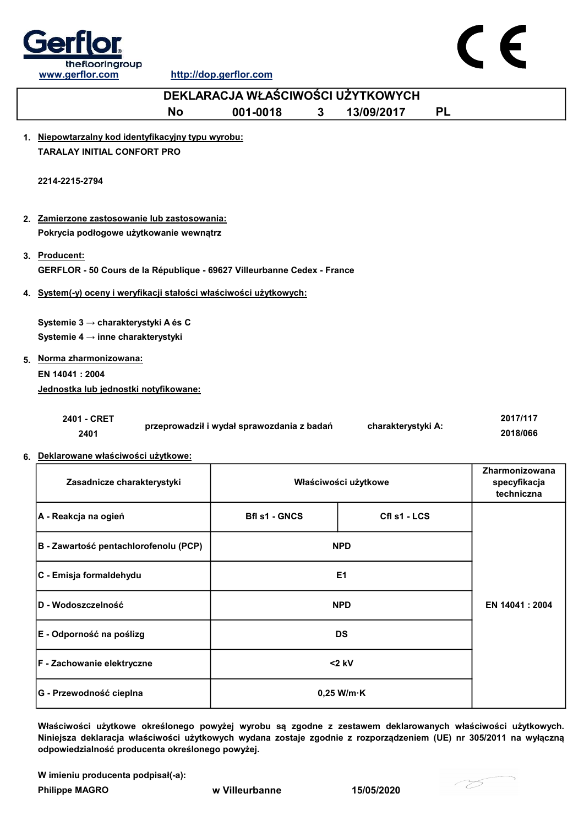



|    | DEKLARACJA WŁAŚCIWOŚCI UŻYTKOWYCH                                                        |                                            |                      |                                              |  |  |  |
|----|------------------------------------------------------------------------------------------|--------------------------------------------|----------------------|----------------------------------------------|--|--|--|
|    | <b>No</b>                                                                                | 001-0018<br>3                              | 13/09/2017           | <b>PL</b>                                    |  |  |  |
| 1. | Niepowtarzalny kod identyfikacyjny typu wyrobu:<br><b>TARALAY INITIAL CONFORT PRO</b>    |                                            |                      |                                              |  |  |  |
|    | 2214-2215-2794                                                                           |                                            |                      |                                              |  |  |  |
|    | 2. Zamierzone zastosowanie lub zastosowania:<br>Pokrycia podłogowe użytkowanie wewnątrz  |                                            |                      |                                              |  |  |  |
|    | 3. Producent:<br>GERFLOR - 50 Cours de la République - 69627 Villeurbanne Cedex - France |                                            |                      |                                              |  |  |  |
|    | 4. System(-y) oceny i weryfikacji stałości właściwości użytkowych:                       |                                            |                      |                                              |  |  |  |
|    | Systemie 3 → charakterystyki A és C<br>Systemie 4 → inne charakterystyki                 |                                            |                      |                                              |  |  |  |
|    | 5. Norma zharmonizowana:<br>EN 14041 : 2004<br>Jednostka lub jednostki notyfikowane:     |                                            |                      |                                              |  |  |  |
|    | 2401 - CRET<br>2401                                                                      | przeprowadził i wydał sprawozdania z badań | charakterystyki A:   | 2017/117<br>2018/066                         |  |  |  |
|    | 6. Deklarowane właściwości użytkowe:                                                     |                                            |                      |                                              |  |  |  |
|    | Zasadnicze charakterystyki                                                               |                                            | Właściwości użytkowe | Zharmonizowana<br>specyfikacja<br>techniczna |  |  |  |
|    | A - Reakcja na ogień                                                                     | <b>Bfl s1 - GNCS</b>                       | Cfl s1 - LCS         |                                              |  |  |  |
|    | B - Zawartość pentachlorofenolu (PCP)                                                    |                                            | <b>NPD</b>           |                                              |  |  |  |
|    | C - Emisja formaldehydu                                                                  |                                            | E <sub>1</sub>       |                                              |  |  |  |
|    | D - Wodoszczelność                                                                       |                                            | <b>NPD</b>           | EN 14041 : 2004                              |  |  |  |
|    |                                                                                          |                                            |                      |                                              |  |  |  |

| E - Odporność na poślizg          | <b>DS</b>            |  |
|-----------------------------------|----------------------|--|
| <b>F</b> - Zachowanie elektryczne | $<$ 2 kV             |  |
| G - Przewodność cieplna           | $0,25$ W/m $\cdot$ K |  |
|                                   |                      |  |

Właściwości użytkowe określonego powyżej wyrobu są zgodne z zestawem deklarowanych właściwości użytkowych. Niniejsza deklaracja właściwości użytkowych wydana zostaje zgodnie z rozporządzeniem (UE) nr 305/2011 na wyłączną odpowiedzialność producenta określonego powyżej.

W imieniu producenta podpisał(-a):

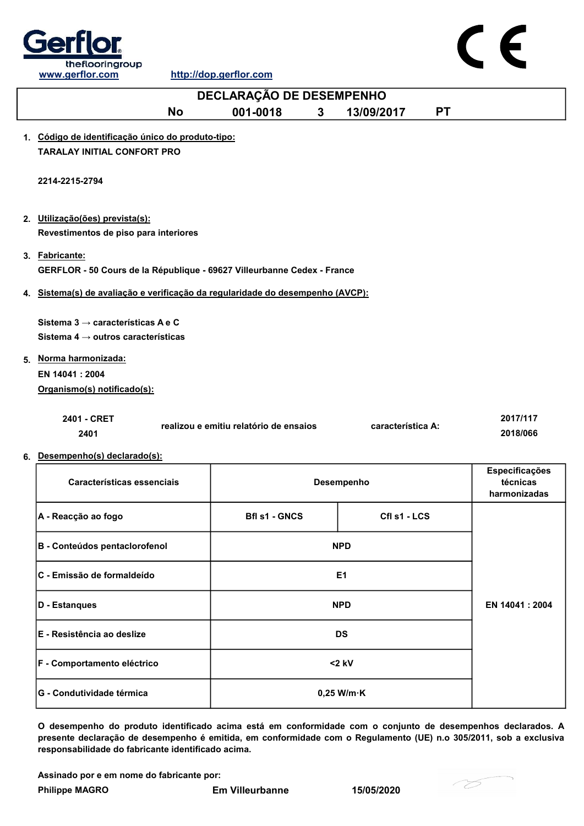



O desempenho do produto identificado acima está em conformidade com o conjunto de desempenhos declarados. A presente declaração de desempenho é emitida, em conformidade com o Regulamento (UE) n.o 305/2011, sob a exclusiva responsabilidade do fabricante identificado acima.

Assinado por e em nome do fabricante por:

G - Condutividade térmica de de de la conductividade térmica de la conductividade de la conductividade de la co

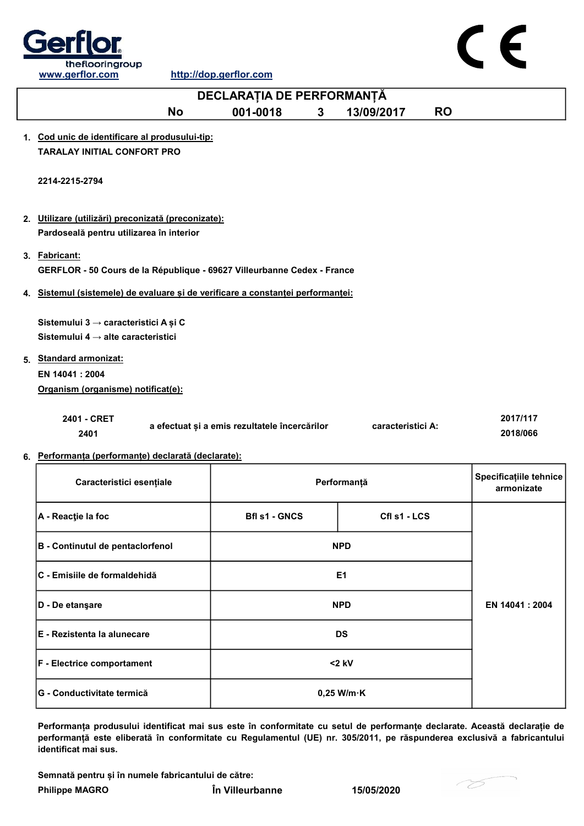

| DECLARAȚIA DE PERFORMANȚĂ                                                       |                                               |   |                   |           |                                      |
|---------------------------------------------------------------------------------|-----------------------------------------------|---|-------------------|-----------|--------------------------------------|
| <b>No</b>                                                                       | 001-0018                                      | 3 | 13/09/2017        | <b>RO</b> |                                      |
| 1. Cod unic de identificare al produsului-tip:                                  |                                               |   |                   |           |                                      |
| <b>TARALAY INITIAL CONFORT PRO</b>                                              |                                               |   |                   |           |                                      |
| 2214-2215-2794                                                                  |                                               |   |                   |           |                                      |
| 2. Utilizare (utilizări) preconizată (preconizate):                             |                                               |   |                   |           |                                      |
| Pardoseală pentru utilizarea în interior                                        |                                               |   |                   |           |                                      |
|                                                                                 |                                               |   |                   |           |                                      |
| 3. Fabricant:                                                                   |                                               |   |                   |           |                                      |
| GERFLOR - 50 Cours de la République - 69627 Villeurbanne Cedex - France         |                                               |   |                   |           |                                      |
| 4. Sistemul (sistemele) de evaluare și de verificare a constanței performanței: |                                               |   |                   |           |                                      |
|                                                                                 |                                               |   |                   |           |                                      |
| Sistemului 3 → caracteristici A și C                                            |                                               |   |                   |           |                                      |
| Sistemului 4 $\rightarrow$ alte caracteristici                                  |                                               |   |                   |           |                                      |
| 5. Standard armonizat:                                                          |                                               |   |                   |           |                                      |
| EN 14041: 2004                                                                  |                                               |   |                   |           |                                      |
| Organism (organisme) notificat(e):                                              |                                               |   |                   |           |                                      |
|                                                                                 |                                               |   |                   |           |                                      |
| 2401 - CRET                                                                     |                                               |   | caracteristici A: |           | 2017/117                             |
| 2401                                                                            | a efectuat și a emis rezultatele încercărilor |   |                   |           | 2018/066                             |
| 6. Performanța (performanțe) declarată (declarate):                             |                                               |   |                   |           |                                      |
|                                                                                 |                                               |   |                   |           |                                      |
| Caracteristici esențiale                                                        |                                               |   | Performanță       |           | Specificațiile tehnice<br>armonizate |
|                                                                                 |                                               |   |                   |           |                                      |
| A - Reacție la foc                                                              | <b>Bfl s1 - GNCS</b>                          |   | Cfl s1 - LCS      |           |                                      |
|                                                                                 |                                               |   |                   |           |                                      |
| B - Continutul de pentaclorfenol                                                |                                               |   | <b>NPD</b>        |           |                                      |
|                                                                                 |                                               |   |                   |           |                                      |
| C - Emisiile de formaldehidă                                                    |                                               |   | E1                |           |                                      |
|                                                                                 |                                               |   |                   |           |                                      |
| D - De etanşare                                                                 |                                               |   | <b>NPD</b>        |           | EN 14041 : 2004                      |

Performanța produsului identificat mai sus este în conformitate cu setul de performanțe declarate. Această declarație de performanță este eliberată în conformitate cu Regulamentul (UE) nr. 305/2011, pe răspunderea exclusivă a fabricantului identificat mai sus.

Semnată pentru și în numele fabricantului de către:

E - Rezistenta la alunecare DS

F - Electrice comportament and the set of the set of the set of the set of the set of the set of the set of the set of the set of the set of the set of the set of the set of the set of the set of the set of the set of the

G - Conductivitate termică 0,25 W/m·K

Philippe MAGRO În Villeurbanne 15/05/2020

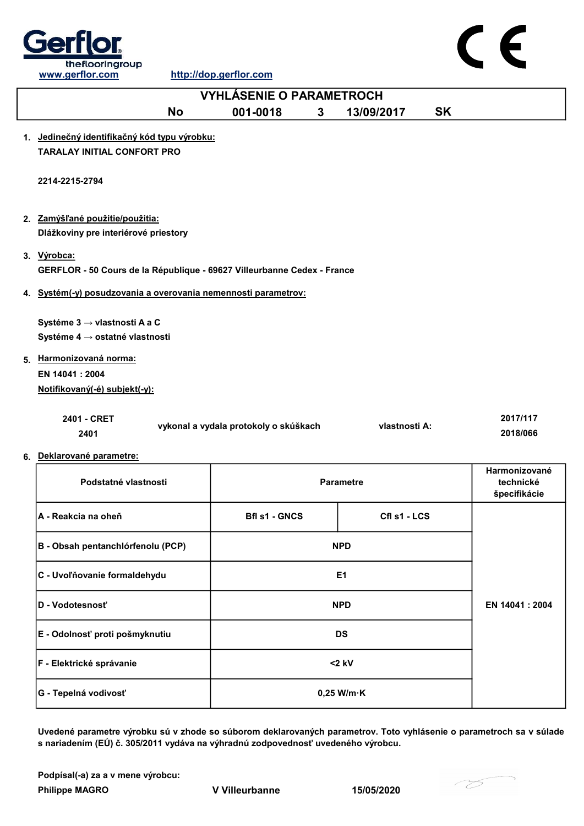

 $\epsilon$ 

| <b>VYHLÁSENIE O PARAMETROCH</b>                                                        |                                       |                  |           |                                            |  |
|----------------------------------------------------------------------------------------|---------------------------------------|------------------|-----------|--------------------------------------------|--|
| <b>No</b>                                                                              | 001-0018<br>3                         | 13/09/2017       | <b>SK</b> |                                            |  |
| 1. Jedinečný identifikačný kód typu výrobku:<br><b>TARALAY INITIAL CONFORT PRO</b>     |                                       |                  |           |                                            |  |
| 2214-2215-2794                                                                         |                                       |                  |           |                                            |  |
| 2. Zamýšľané použitie/použitia:<br>Dlážkoviny pre interiérové priestory                |                                       |                  |           |                                            |  |
| 3. Výrobca:<br>GERFLOR - 50 Cours de la République - 69627 Villeurbanne Cedex - France |                                       |                  |           |                                            |  |
| 4. Systém(-y) posudzovania a overovania nemennosti parametrov:                         |                                       |                  |           |                                            |  |
| Systéme 3 → vlastnosti A a C<br>Systéme 4 → ostatné vlastnosti                         |                                       |                  |           |                                            |  |
| 5. Harmonizovaná norma:                                                                |                                       |                  |           |                                            |  |
| EN 14041 : 2004<br>Notifikovaný(-é) subjekt(-y):                                       |                                       |                  |           |                                            |  |
| 2401 - CRET<br>2401<br>6. Deklarované parametre:                                       | vykonal a vydala protokoly o skúškach | vlastnosti A:    |           | 2017/117<br>2018/066                       |  |
| Podstatné vlastnosti                                                                   |                                       | <b>Parametre</b> |           | Harmonizované<br>technické<br>špecifikácie |  |
| <b>A - Reakcia na oheň</b>                                                             | <b>Bfl s1 - GNCS</b>                  | Cfl s1 - LCS     |           |                                            |  |
| B - Obsah pentanchlórfenolu (PCP)                                                      |                                       | <b>NPD</b>       |           |                                            |  |
| C - Uvoľňovanie formaldehydu                                                           |                                       | E <sub>1</sub>   |           |                                            |  |
| D - Vodotesnosť                                                                        |                                       | <b>NPD</b>       |           | EN 14041 : 2004                            |  |
| E - Odolnosť proti pošmyknutiu                                                         |                                       | <b>DS</b>        |           |                                            |  |

Uvedené parametre výrobku sú v zhode so súborom deklarovaných parametrov. Toto vyhlásenie o parametroch sa v súlade s nariadením (EÚ) č. 305/2011 vydáva na výhradnú zodpovednosť uvedeného výrobcu.

0,25 W/m·K

Podpísal(-a) za a v mene výrobcu:

Philippe MAGRO V Villeurbanne 15/05/2020

G - Tepelná vodivosť

F - Elektrické správanie <2 kV

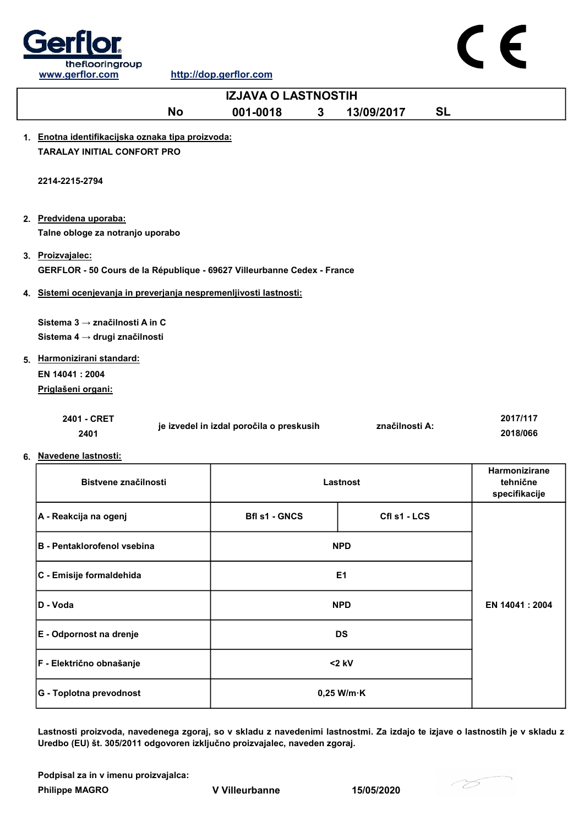



Lastnosti proizvoda, navedenega zgoraj, so v skladu z navedenimi lastnostmi. Za izdajo te izjave o lastnostih je v skladu z Uredbo (EU) št. 305/2011 odgovoren izključno proizvajalec, naveden zgoraj.

Podpisal za in v imenu proizvajalca:

Philippe MAGRO **V** Villeurbanne 15/05/2020